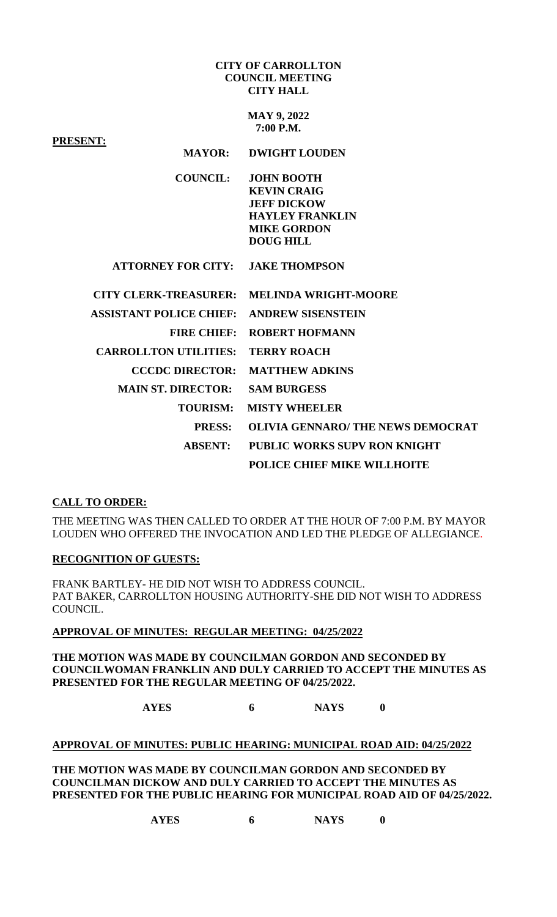### **CITY OF CARROLLTON COUNCIL MEETING CITY HALL**

**MAY 9, 2022 7:00 P.M.**

| <b>PRESENT:</b>                         |                                                                                         |
|-----------------------------------------|-----------------------------------------------------------------------------------------|
| <b>MAYOR:</b>                           | <b>DWIGHT LOUDEN</b>                                                                    |
| <b>COUNCIL:</b>                         | <b>JOHN BOOTH</b><br><b>KEVIN CRAIG</b><br><b>JEFF DICKOW</b><br><b>HAYLEY FRANKLIN</b> |
|                                         | <b>MIKE GORDON</b>                                                                      |
|                                         | <b>DOUG HILL</b>                                                                        |
| <b>ATTORNEY FOR CITY: JAKE THOMPSON</b> |                                                                                         |
| <b>CITY CLERK-TREASURER:</b>            | <b>MELINDA WRIGHT-MOORE</b>                                                             |
| <b>ASSISTANT POLICE CHIEF:</b>          | <b>ANDREW SISENSTEIN</b>                                                                |
| <b>FIRE CHIEF:</b>                      | <b>ROBERT HOFMANN</b>                                                                   |
| <b>CARROLLTON UTILITIES:</b>            | <b>TERRY ROACH</b>                                                                      |
| <b>CCCDC DIRECTOR:</b>                  | <b>MATTHEW ADKINS</b>                                                                   |
| <b>MAIN ST. DIRECTOR:</b>               | <b>SAM BURGESS</b>                                                                      |
| <b>TOURISM:</b>                         | <b>MISTY WHEELER</b>                                                                    |
| <b>PRESS:</b>                           | <b>OLIVIA GENNARO/THE NEWS DEMOCRAT</b>                                                 |
| <b>ABSENT:</b>                          | <b>PUBLIC WORKS SUPV RON KNIGHT</b>                                                     |
|                                         | POLICE CHIEF MIKE WILLHOITE                                                             |

# **CALL TO ORDER:**

THE MEETING WAS THEN CALLED TO ORDER AT THE HOUR OF 7:00 P.M. BY MAYOR LOUDEN WHO OFFERED THE INVOCATION AND LED THE PLEDGE OF ALLEGIANCE.

## **RECOGNITION OF GUESTS:**

FRANK BARTLEY- HE DID NOT WISH TO ADDRESS COUNCIL. PAT BAKER, CARROLLTON HOUSING AUTHORITY-SHE DID NOT WISH TO ADDRESS COUNCIL.

## **APPROVAL OF MINUTES: REGULAR MEETING: 04/25/2022**

**THE MOTION WAS MADE BY COUNCILMAN GORDON AND SECONDED BY COUNCILWOMAN FRANKLIN AND DULY CARRIED TO ACCEPT THE MINUTES AS PRESENTED FOR THE REGULAR MEETING OF 04/25/2022.**

**AYES 6 NAYS 0**

### **APPROVAL OF MINUTES: PUBLIC HEARING: MUNICIPAL ROAD AID: 04/25/2022**

**THE MOTION WAS MADE BY COUNCILMAN GORDON AND SECONDED BY COUNCILMAN DICKOW AND DULY CARRIED TO ACCEPT THE MINUTES AS PRESENTED FOR THE PUBLIC HEARING FOR MUNICIPAL ROAD AID OF 04/25/2022.**

**AYES 6 NAYS 0**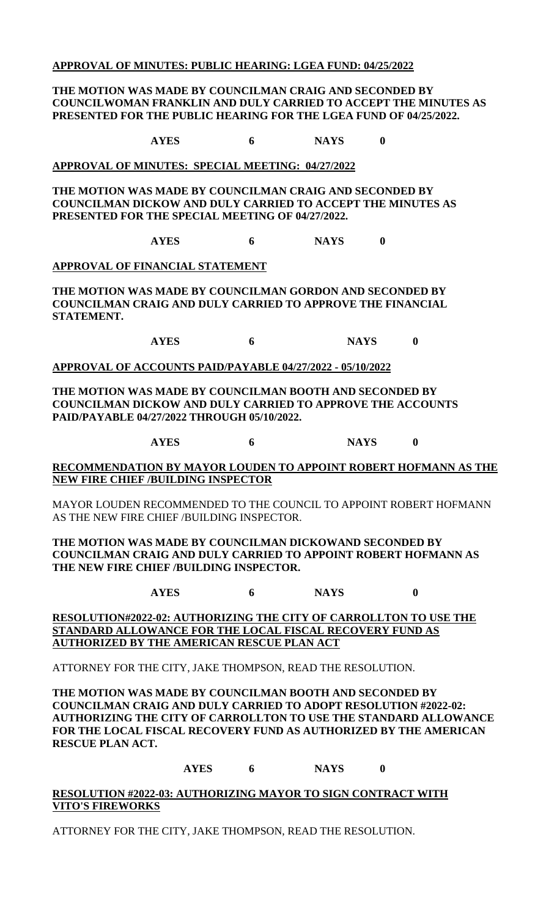## **APPROVAL OF MINUTES: PUBLIC HEARING: LGEA FUND: 04/25/2022**

## **THE MOTION WAS MADE BY COUNCILMAN CRAIG AND SECONDED BY COUNCILWOMAN FRANKLIN AND DULY CARRIED TO ACCEPT THE MINUTES AS PRESENTED FOR THE PUBLIC HEARING FOR THE LGEA FUND OF 04/25/2022.**

**AYES 6 NAYS 0**

### **APPROVAL OF MINUTES: SPECIAL MEETING: 04/27/2022**

**THE MOTION WAS MADE BY COUNCILMAN CRAIG AND SECONDED BY COUNCILMAN DICKOW AND DULY CARRIED TO ACCEPT THE MINUTES AS PRESENTED FOR THE SPECIAL MEETING OF 04/27/2022.**

**AYES 6 NAYS 0**

## **APPROVAL OF FINANCIAL STATEMENT**

**THE MOTION WAS MADE BY COUNCILMAN GORDON AND SECONDED BY COUNCILMAN CRAIG AND DULY CARRIED TO APPROVE THE FINANCIAL STATEMENT.**

**AYES 6 NAYS 0**

#### **APPROVAL OF ACCOUNTS PAID/PAYABLE 04/27/2022 - 05/10/2022**

**THE MOTION WAS MADE BY COUNCILMAN BOOTH AND SECONDED BY COUNCILMAN DICKOW AND DULY CARRIED TO APPROVE THE ACCOUNTS PAID/PAYABLE 04/27/2022 THROUGH 05/10/2022.**

**AYES 6 NAYS 0**

## **RECOMMENDATION BY MAYOR LOUDEN TO APPOINT ROBERT HOFMANN AS THE NEW FIRE CHIEF /BUILDING INSPECTOR**

MAYOR LOUDEN RECOMMENDED TO THE COUNCIL TO APPOINT ROBERT HOFMANN AS THE NEW FIRE CHIEF /BUILDING INSPECTOR.

**THE MOTION WAS MADE BY COUNCILMAN DICKOWAND SECONDED BY COUNCILMAN CRAIG AND DULY CARRIED TO APPOINT ROBERT HOFMANN AS THE NEW FIRE CHIEF /BUILDING INSPECTOR.**

**AYES 6 NAYS 0**

**RESOLUTION#2022-02: AUTHORIZING THE CITY OF CARROLLTON TO USE THE STANDARD ALLOWANCE FOR THE LOCAL FISCAL RECOVERY FUND AS AUTHORIZED BY THE AMERICAN RESCUE PLAN ACT**

ATTORNEY FOR THE CITY, JAKE THOMPSON, READ THE RESOLUTION.

**THE MOTION WAS MADE BY COUNCILMAN BOOTH AND SECONDED BY COUNCILMAN CRAIG AND DULY CARRIED TO ADOPT RESOLUTION #2022-02: AUTHORIZING THE CITY OF CARROLLTON TO USE THE STANDARD ALLOWANCE FOR THE LOCAL FISCAL RECOVERY FUND AS AUTHORIZED BY THE AMERICAN RESCUE PLAN ACT.**

## **AYES 6 NAYS 0**

## **RESOLUTION #2022-03: AUTHORIZING MAYOR TO SIGN CONTRACT WITH VITO'S FIREWORKS**

ATTORNEY FOR THE CITY, JAKE THOMPSON, READ THE RESOLUTION.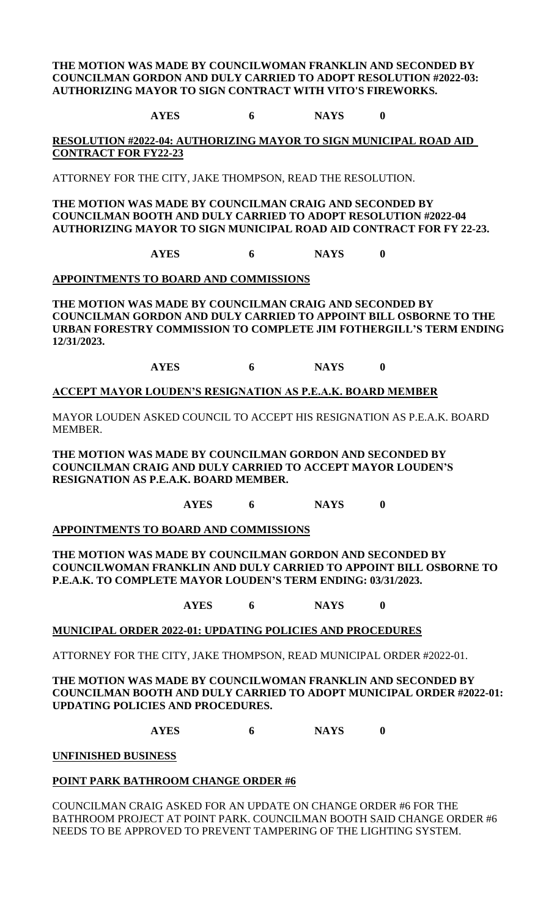## **THE MOTION WAS MADE BY COUNCILWOMAN FRANKLIN AND SECONDED BY COUNCILMAN GORDON AND DULY CARRIED TO ADOPT RESOLUTION #2022-03: AUTHORIZING MAYOR TO SIGN CONTRACT WITH VITO'S FIREWORKS.**

**AYES 6 NAYS 0**

**RESOLUTION #2022-04: AUTHORIZING MAYOR TO SIGN MUNICIPAL ROAD AID CONTRACT FOR FY22-23**

ATTORNEY FOR THE CITY, JAKE THOMPSON, READ THE RESOLUTION.

**THE MOTION WAS MADE BY COUNCILMAN CRAIG AND SECONDED BY COUNCILMAN BOOTH AND DULY CARRIED TO ADOPT RESOLUTION #2022-04 AUTHORIZING MAYOR TO SIGN MUNICIPAL ROAD AID CONTRACT FOR FY 22-23.**

**AYES 6 NAYS 0**

## **APPOINTMENTS TO BOARD AND COMMISSIONS**

**THE MOTION WAS MADE BY COUNCILMAN CRAIG AND SECONDED BY COUNCILMAN GORDON AND DULY CARRIED TO APPOINT BILL OSBORNE TO THE URBAN FORESTRY COMMISSION TO COMPLETE JIM FOTHERGILL'S TERM ENDING 12/31/2023.**

**AYES 6 NAYS 0**

## **ACCEPT MAYOR LOUDEN'S RESIGNATION AS P.E.A.K. BOARD MEMBER**

MAYOR LOUDEN ASKED COUNCIL TO ACCEPT HIS RESIGNATION AS P.E.A.K. BOARD MEMBER.

**THE MOTION WAS MADE BY COUNCILMAN GORDON AND SECONDED BY COUNCILMAN CRAIG AND DULY CARRIED TO ACCEPT MAYOR LOUDEN'S RESIGNATION AS P.E.A.K. BOARD MEMBER.**

**AYES 6 NAYS 0**

**APPOINTMENTS TO BOARD AND COMMISSIONS**

**THE MOTION WAS MADE BY COUNCILMAN GORDON AND SECONDED BY COUNCILWOMAN FRANKLIN AND DULY CARRIED TO APPOINT BILL OSBORNE TO P.E.A.K. TO COMPLETE MAYOR LOUDEN'S TERM ENDING: 03/31/2023.**

**AYES 6 NAYS 0**

## **MUNICIPAL ORDER 2022-01: UPDATING POLICIES AND PROCEDURES**

ATTORNEY FOR THE CITY, JAKE THOMPSON, READ MUNICIPAL ORDER #2022-01.

## **THE MOTION WAS MADE BY COUNCILWOMAN FRANKLIN AND SECONDED BY COUNCILMAN BOOTH AND DULY CARRIED TO ADOPT MUNICIPAL ORDER #2022-01: UPDATING POLICIES AND PROCEDURES.**

**AYES 6 NAYS 0**

**UNFINISHED BUSINESS**

## **POINT PARK BATHROOM CHANGE ORDER #6**

COUNCILMAN CRAIG ASKED FOR AN UPDATE ON CHANGE ORDER #6 FOR THE BATHROOM PROJECT AT POINT PARK. COUNCILMAN BOOTH SAID CHANGE ORDER #6 NEEDS TO BE APPROVED TO PREVENT TAMPERING OF THE LIGHTING SYSTEM.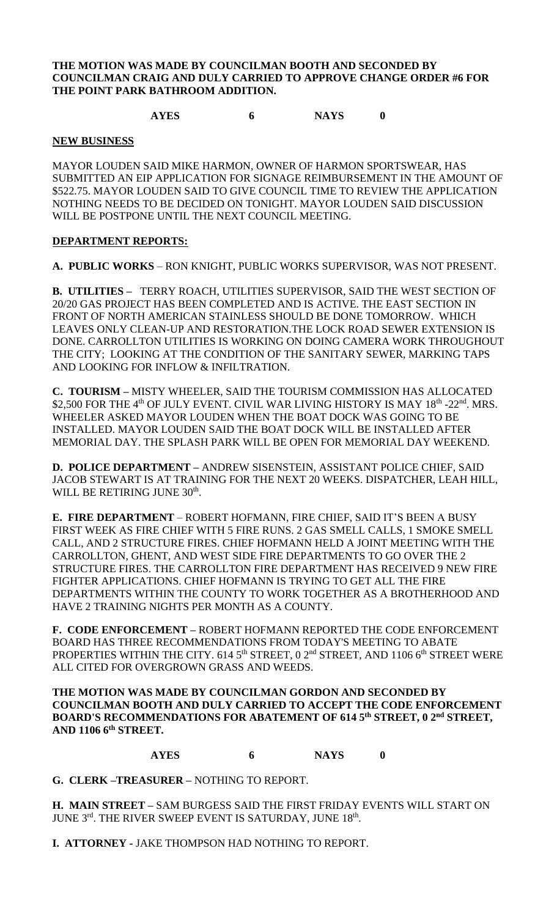## **THE MOTION WAS MADE BY COUNCILMAN BOOTH AND SECONDED BY COUNCILMAN CRAIG AND DULY CARRIED TO APPROVE CHANGE ORDER #6 FOR THE POINT PARK BATHROOM ADDITION.**

# **AYES 6 NAYS 0**

### **NEW BUSINESS**

MAYOR LOUDEN SAID MIKE HARMON, OWNER OF HARMON SPORTSWEAR, HAS SUBMITTED AN EIP APPLICATION FOR SIGNAGE REIMBURSEMENT IN THE AMOUNT OF \$522.75. MAYOR LOUDEN SAID TO GIVE COUNCIL TIME TO REVIEW THE APPLICATION NOTHING NEEDS TO BE DECIDED ON TONIGHT. MAYOR LOUDEN SAID DISCUSSION WILL BE POSTPONE UNTIL THE NEXT COUNCIL MEETING.

## **DEPARTMENT REPORTS:**

**A. PUBLIC WORKS** – RON KNIGHT, PUBLIC WORKS SUPERVISOR, WAS NOT PRESENT.

**B. UTILITIES –** TERRY ROACH, UTILITIES SUPERVISOR, SAID THE WEST SECTION OF 20/20 GAS PROJECT HAS BEEN COMPLETED AND IS ACTIVE. THE EAST SECTION IN FRONT OF NORTH AMERICAN STAINLESS SHOULD BE DONE TOMORROW. WHICH LEAVES ONLY CLEAN-UP AND RESTORATION.THE LOCK ROAD SEWER EXTENSION IS DONE. CARROLLTON UTILITIES IS WORKING ON DOING CAMERA WORK THROUGHOUT THE CITY; LOOKING AT THE CONDITION OF THE SANITARY SEWER, MARKING TAPS AND LOOKING FOR INFLOW & INFILTRATION.

**C. TOURISM –** MISTY WHEELER, SAID THE TOURISM COMMISSION HAS ALLOCATED \$2,500 FOR THE  $4^{\text{th}}$  OF JULY EVENT. CIVIL WAR LIVING HISTORY IS MAY  $18^{\text{th}}$  -22<sup>nd</sup>. MRS. WHEELER ASKED MAYOR LOUDEN WHEN THE BOAT DOCK WAS GOING TO BE INSTALLED. MAYOR LOUDEN SAID THE BOAT DOCK WILL BE INSTALLED AFTER MEMORIAL DAY. THE SPLASH PARK WILL BE OPEN FOR MEMORIAL DAY WEEKEND.

**D. POLICE DEPARTMENT –** ANDREW SISENSTEIN, ASSISTANT POLICE CHIEF, SAID JACOB STEWART IS AT TRAINING FOR THE NEXT 20 WEEKS. DISPATCHER, LEAH HILL, WILL BE RETIRING JUNE 30<sup>th</sup>.

**E. FIRE DEPARTMENT** – ROBERT HOFMANN, FIRE CHIEF, SAID IT'S BEEN A BUSY FIRST WEEK AS FIRE CHIEF WITH 5 FIRE RUNS. 2 GAS SMELL CALLS, 1 SMOKE SMELL CALL, AND 2 STRUCTURE FIRES. CHIEF HOFMANN HELD A JOINT MEETING WITH THE CARROLLTON, GHENT, AND WEST SIDE FIRE DEPARTMENTS TO GO OVER THE 2 STRUCTURE FIRES. THE CARROLLTON FIRE DEPARTMENT HAS RECEIVED 9 NEW FIRE FIGHTER APPLICATIONS. CHIEF HOFMANN IS TRYING TO GET ALL THE FIRE DEPARTMENTS WITHIN THE COUNTY TO WORK TOGETHER AS A BROTHERHOOD AND HAVE 2 TRAINING NIGHTS PER MONTH AS A COUNTY.

**F. CODE ENFORCEMENT –** ROBERT HOFMANN REPORTED THE CODE ENFORCEMENT BOARD HAS THREE RECOMMENDATIONS FROM TODAY'S MEETING TO ABATE PROPERTIES WITHIN THE CITY.  $614.5<sup>th</sup>$  STREET, 0  $2<sup>nd</sup>$  STREET, AND 1106  $6<sup>th</sup>$  STREET WERE ALL CITED FOR OVERGROWN GRASS AND WEEDS.

**THE MOTION WAS MADE BY COUNCILMAN GORDON AND SECONDED BY COUNCILMAN BOOTH AND DULY CARRIED TO ACCEPT THE CODE ENFORCEMENT BOARD'S RECOMMENDATIONS FOR ABATEMENT OF 614 5th STREET, 0 2nd STREET, AND 1106 6th STREET.**

**AYES 6 NAYS 0**

**G. CLERK –TREASURER –** NOTHING TO REPORT.

**H. MAIN STREET –** SAM BURGESS SAID THE FIRST FRIDAY EVENTS WILL START ON JUNE  $3<sup>rd</sup>$ . THE RIVER SWEEP EVENT IS SATURDAY, JUNE  $18<sup>th</sup>$ .

**I. ATTORNEY -** JAKE THOMPSON HAD NOTHING TO REPORT.